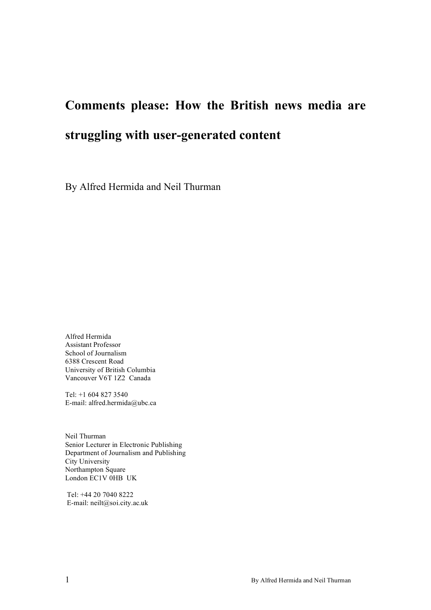# **Comments please: How the British news media are struggling with user-generated content**

By Alfred Hermida and Neil Thurman

Alfred Hermida Assistant Professor School of Journalism 6388 Crescent Road University of British Columbia Vancouver V6T 1Z2 Canada

Tel: +1 604 827 3540 E-mail: alfred.hermida@ubc.ca

Neil Thurman Senior Lecturer in Electronic Publishing Department of Journalism and Publishing City University Northampton Square London EC1V 0HB UK

Tel: +44 20 7040 8222 E-mail: neilt@soi.city.ac.uk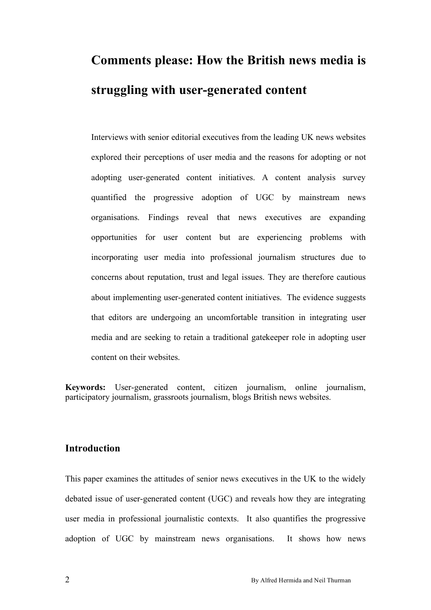## **Comments please: How the British news media is struggling with user-generated content**

Interviews with senior editorial executives from the leading UK news websites explored their perceptions of user media and the reasons for adopting or not adopting user-generated content initiatives. A content analysis survey quantified the progressive adoption of UGC by mainstream news organisations. Findings reveal that news executives are expanding opportunities for user content but are experiencing problems with incorporating user media into professional journalism structures due to concerns about reputation, trust and legal issues. They are therefore cautious about implementing user-generated content initiatives. The evidence suggests that editors are undergoing an uncomfortable transition in integrating user media and are seeking to retain a traditional gatekeeper role in adopting user content on their websites.

**Keywords:** User-generated content, citizen journalism, online journalism, participatory journalism, grassroots journalism, blogs British news websites.

## **Introduction**

This paper examines the attitudes of senior news executives in the UK to the widely debated issue of user-generated content (UGC) and reveals how they are integrating user media in professional journalistic contexts. It also quantifies the progressive adoption of UGC by mainstream news organisations. It shows how news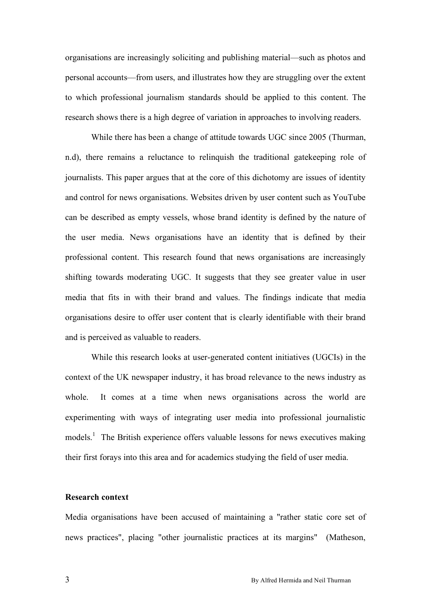organisations are increasingly soliciting and publishing material—such as photos and personal accounts—from users, and illustrates how they are struggling over the extent to which professional journalism standards should be applied to this content. The research shows there is a high degree of variation in approaches to involving readers.

While there has been a change of attitude towards UGC since 2005 (Thurman, n.d), there remains a reluctance to relinquish the traditional gatekeeping role of journalists. This paper argues that at the core of this dichotomy are issues of identity and control for news organisations. Websites driven by user content such as YouTube can be described as empty vessels, whose brand identity is defined by the nature of the user media. News organisations have an identity that is defined by their professional content. This research found that news organisations are increasingly shifting towards moderating UGC. It suggests that they see greater value in user media that fits in with their brand and values. The findings indicate that media organisations desire to offer user content that is clearly identifiable with their brand and is perceived as valuable to readers.

While this research looks at user-generated content initiatives (UGCIs) in the context of the UK newspaper industry, it has broad relevance to the news industry as whole. It comes at a time when news organisations across the world are experimenting with ways of integrating user media into professional journalistic models.<sup>1</sup> The British experience offers valuable lessons for news executives making their first forays into this area and for academics studying the field of user media.

## **Research context**

Media organisations have been accused of maintaining a "rather static core set of news practices", placing "other journalistic practices at its margins" (Matheson,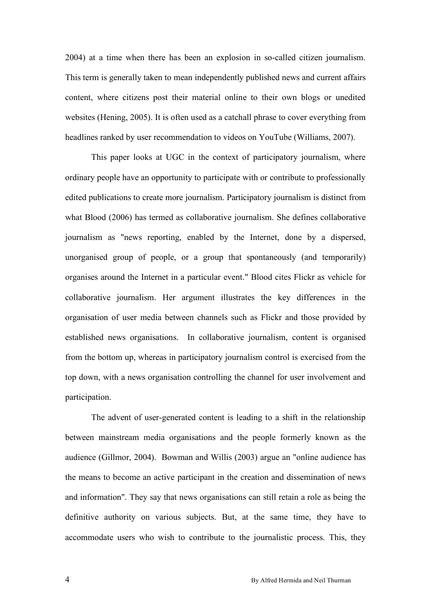2004) at a time when there has been an explosion in so-called citizen journalism. This term is generally taken to mean independently published news and current affairs content, where citizens post their material online to their own blogs or unedited websites (Hening, 2005). It is often used as a catchall phrase to cover everything from headlines ranked by user recommendation to videos on YouTube (Williams, 2007).

This paper looks at UGC in the context of participatory journalism, where ordinary people have an opportunity to participate with or contribute to professionally edited publications to create more journalism. Participatory journalism is distinct from what Blood (2006) has termed as collaborative journalism. She defines collaborative journalism as "news reporting, enabled by the Internet, done by a dispersed, unorganised group of people, or a group that spontaneously (and temporarily) organises around the Internet in a particular event." Blood cites Flickr as vehicle for collaborative journalism. Her argument illustrates the key differences in the organisation of user media between channels such as Flickr and those provided by established news organisations. In collaborative journalism, content is organised from the bottom up, whereas in participatory journalism control is exercised from the top down, with a news organisation controlling the channel for user involvement and participation.

The advent of user-generated content is leading to a shift in the relationship between mainstream media organisations and the people formerly known as the audience (Gillmor, 2004). Bowman and Willis (2003) argue an "online audience has the means to become an active participant in the creation and dissemination of news and information". They say that news organisations can still retain a role as being the definitive authority on various subjects. But, at the same time, they have to accommodate users who wish to contribute to the journalistic process. This, they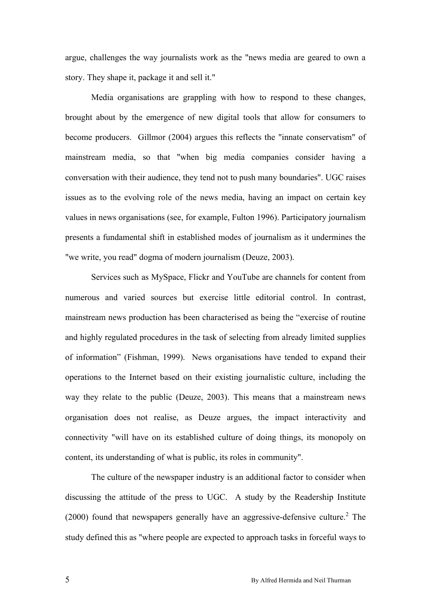argue, challenges the way journalists work as the "news media are geared to own a story. They shape it, package it and sell it."

Media organisations are grappling with how to respond to these changes, brought about by the emergence of new digital tools that allow for consumers to become producers. Gillmor (2004) argues this reflects the "innate conservatism" of mainstream media, so that "when big media companies consider having a conversation with their audience, they tend not to push many boundaries". UGC raises issues as to the evolving role of the news media, having an impact on certain key values in news organisations (see, for example, Fulton 1996). Participatory journalism presents a fundamental shift in established modes of journalism as it undermines the "we write, you read" dogma of modern journalism (Deuze, 2003).

Services such as MySpace, Flickr and YouTube are channels for content from numerous and varied sources but exercise little editorial control. In contrast, mainstream news production has been characterised as being the "exercise of routine and highly regulated procedures in the task of selecting from already limited supplies of information" (Fishman, 1999). News organisations have tended to expand their operations to the Internet based on their existing journalistic culture, including the way they relate to the public (Deuze, 2003). This means that a mainstream news organisation does not realise, as Deuze argues, the impact interactivity and connectivity "will have on its established culture of doing things, its monopoly on content, its understanding of what is public, its roles in community".

The culture of the newspaper industry is an additional factor to consider when discussing the attitude of the press to UGC. A study by the Readership Institute  $(2000)$  found that newspapers generally have an aggressive-defensive culture.<sup>2</sup> The study defined this as "where people are expected to approach tasks in forceful ways to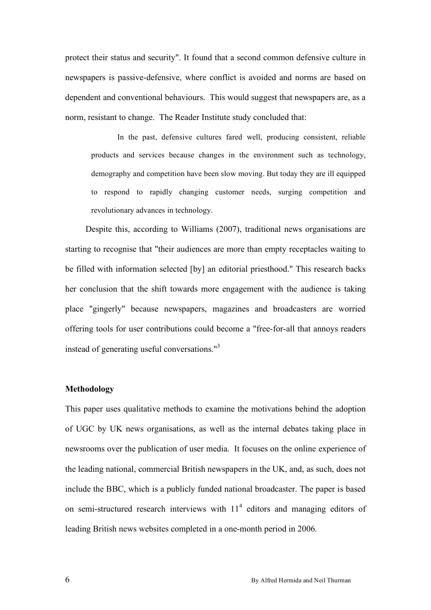protect their status and security". It found that a second common defensive culture in newspapers is passive-defensive, where conflict is avoided and norms are based on dependent and conventional behaviours. This would suggest that newspapers are, as a norm, resistant to change. The Reader Institute study concluded that:

In the past, defensive cultures fared well, producing consistent, reliable products and services because changes in the environment such as technology, demography and competition have been slow moving. But today they are ill equipped to respond to rapidly changing customer needs, surging competition and revolutionary advances in technology.

Despite this, according to Williams (2007), traditional news organisations are starting to recognise that "their audiences are more than empty receptacles waiting to be filled with information selected [by] an editorial priesthood." This research backs her conclusion that the shift towards more engagement with the audience is taking place "gingerly" because newspapers, magazines and broadcasters are worried offering tools for user contributions could become a "free-for-all that annoys readers instead of generating useful conversations."<sup>3</sup>

## **Methodology**

This paper uses qualitative methods to examine the motivations behind the adoption of UGC by UK news organisations, as well as the internal debates taking place in newsrooms over the publication of user media. It focuses on the online experience of the leading national, commercial British newspapers in the UK, and, as such, does not include the BBC, which is a publicly funded national broadcaster. The paper is based on semi-structured research interviews with  $11<sup>4</sup>$  editors and managing editors of leading British news websites completed in a one-month period in 2006.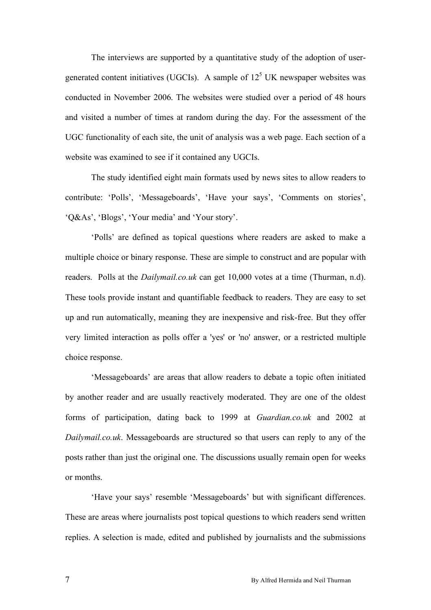The interviews are supported by a quantitative study of the adoption of usergenerated content initiatives (UGCIs). A sample of  $12<sup>5</sup>$  UK newspaper websites was conducted in November 2006. The websites were studied over a period of 48 hours and visited a number of times at random during the day. For the assessment of the UGC functionality of each site, the unit of analysis was a web page. Each section of a website was examined to see if it contained any UGCIs.

The study identified eight main formats used by news sites to allow readers to contribute: 'Polls', 'Messageboards', 'Have your says', 'Comments on stories', 'Q&As', 'Blogs', 'Your media' and 'Your story'.

'Polls' are defined as topical questions where readers are asked to make a multiple choice or binary response. These are simple to construct and are popular with readers. Polls at the *Dailymail.co.uk* can get 10,000 votes at a time (Thurman, n.d). These tools provide instant and quantifiable feedback to readers. They are easy to set up and run automatically, meaning they are inexpensive and risk-free. But they offer very limited interaction as polls offer a 'yes' or 'no' answer, or a restricted multiple choice response.

'Messageboards' are areas that allow readers to debate a topic often initiated by another reader and are usually reactively moderated. They are one of the oldest forms of participation, dating back to 1999 at *Guardian.co.uk* and 2002 at *Dailymail.co.uk*. Messageboards are structured so that users can reply to any of the posts rather than just the original one. The discussions usually remain open for weeks or months.

'Have your says' resemble 'Messageboards' but with significant differences. These are areas where journalists post topical questions to which readers send written replies. A selection is made, edited and published by journalists and the submissions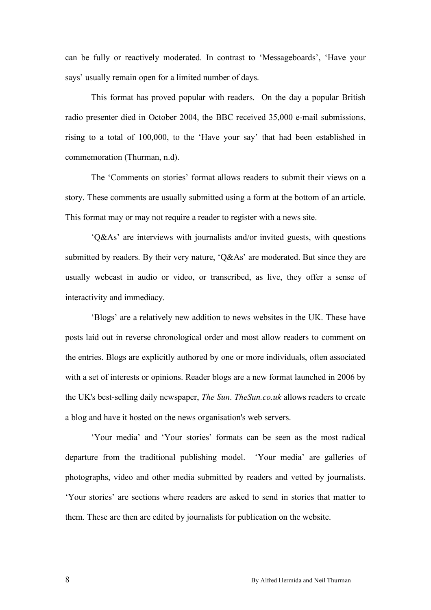can be fully or reactively moderated. In contrast to 'Messageboards', 'Have your says' usually remain open for a limited number of days.

This format has proved popular with readers. On the day a popular British radio presenter died in October 2004, the BBC received 35,000 e-mail submissions, rising to a total of 100,000, to the 'Have your say' that had been established in commemoration (Thurman, n.d).

The 'Comments on stories' format allows readers to submit their views on a story. These comments are usually submitted using a form at the bottom of an article. This format may or may not require a reader to register with a news site.

'Q&As' are interviews with journalists and/or invited guests, with questions submitted by readers. By their very nature, 'Q&As' are moderated. But since they are usually webcast in audio or video, or transcribed, as live, they offer a sense of interactivity and immediacy.

'Blogs' are a relatively new addition to news websites in the UK. These have posts laid out in reverse chronological order and most allow readers to comment on the entries. Blogs are explicitly authored by one or more individuals, often associated with a set of interests or opinions. Reader blogs are a new format launched in 2006 by the UK's best-selling daily newspaper, *The Sun*. *TheSun.co.uk* allows readers to create a blog and have it hosted on the news organisation's web servers.

'Your media' and 'Your stories' formats can be seen as the most radical departure from the traditional publishing model. 'Your media' are galleries of photographs, video and other media submitted by readers and vetted by journalists. 'Your stories' are sections where readers are asked to send in stories that matter to them. These are then are edited by journalists for publication on the website.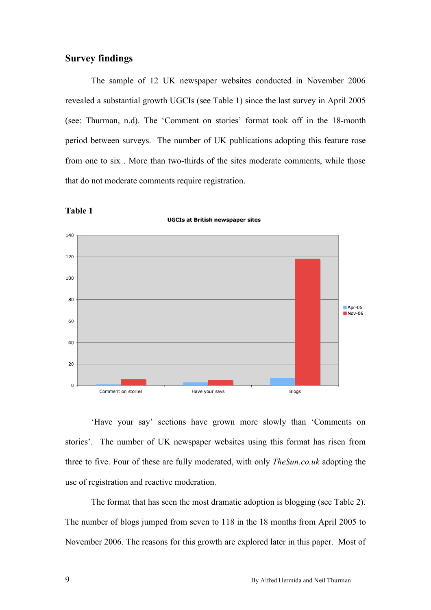## **Survey findings**

The sample of 12 UK newspaper websites conducted in November 2006 revealed a substantial growth UGCIs (see Table 1) since the last survey in April 2005 (see: Thurman, n.d). The 'Comment on stories' format took off in the 18-month period between surveys. The number of UK publications adopting this feature rose from one to six . More than two-thirds of the sites moderate comments, while those that do not moderate comments require registration.



**Table 1**

'Have your say' sections have grown more slowly than 'Comments on stories'. The number of UK newspaper websites using this format has risen from three to five. Four of these are fully moderated, with only *TheSun.co.uk* adopting the use of registration and reactive moderation.

The format that has seen the most dramatic adoption is blogging (see Table 2). The number of blogs jumped from seven to 118 in the 18 months from April 2005 to November 2006. The reasons for this growth are explored later in this paper. Most of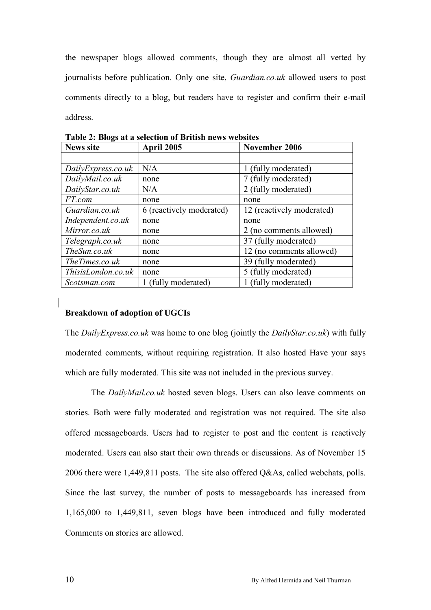the newspaper blogs allowed comments, though they are almost all vetted by journalists before publication. Only one site, *Guardian.co.uk* allowed users to post comments directly to a blog, but readers have to register and confirm their e-mail address.

| <b>News site</b>   | April 2005               | November 2006             |
|--------------------|--------------------------|---------------------------|
|                    |                          |                           |
| DailyExpress.co.uk | N/A                      | 1 (fully moderated)       |
| DailyMail.co.uk    | none                     | 7 (fully moderated)       |
| DailyStar.co.uk    | N/A                      | 2 (fully moderated)       |
| FT.com             | none                     | none                      |
| Guardian.co.uk     | 6 (reactively moderated) | 12 (reactively moderated) |
| Independent.co.uk  | none                     | none                      |
| Mirror.co.uk       | none                     | 2 (no comments allowed)   |
| Telegraph.co.uk    | none                     | 37 (fully moderated)      |
| TheSun.co.uk       | none                     | 12 (no comments allowed)  |
| TheTimes.co.uk     | none                     | 39 (fully moderated)      |
| ThisisLondon.co.uk | none                     | 5 (fully moderated)       |
| Scotsman.com       | (fully moderated)        | (fully moderated)         |

**Table 2: Blogs at a selection of British news websites**

## **Breakdown of adoption of UGCIs**

The *DailyExpress.co.uk* was home to one blog (jointly the *DailyStar.co.uk*) with fully moderated comments, without requiring registration. It also hosted Have your says which are fully moderated. This site was not included in the previous survey.

The *DailyMail.co.uk* hosted seven blogs. Users can also leave comments on stories. Both were fully moderated and registration was not required. The site also offered messageboards. Users had to register to post and the content is reactively moderated. Users can also start their own threads or discussions. As of November 15 2006 there were 1,449,811 posts. The site also offered Q&As, called webchats, polls. Since the last survey, the number of posts to messageboards has increased from 1,165,000 to 1,449,811, seven blogs have been introduced and fully moderated Comments on stories are allowed.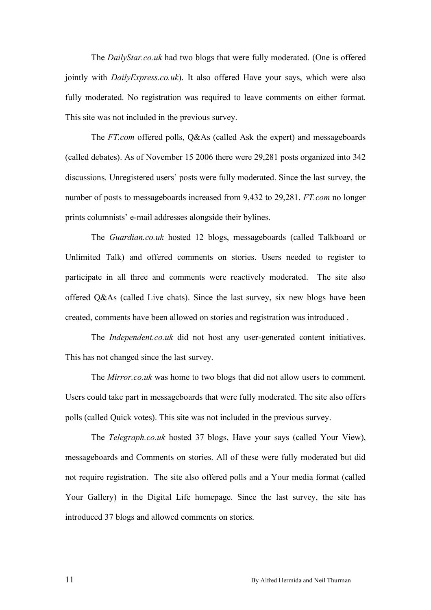The *DailyStar.co.uk* had two blogs that were fully moderated. (One is offered jointly with *DailyExpress.co.uk*). It also offered Have your says, which were also fully moderated. No registration was required to leave comments on either format. This site was not included in the previous survey.

The *FT.com* offered polls, Q&As (called Ask the expert) and messageboards (called debates). As of November 15 2006 there were 29,281 posts organized into 342 discussions. Unregistered users' posts were fully moderated. Since the last survey, the number of posts to messageboards increased from 9,432 to 29,281. *FT.com* no longer prints columnists' e-mail addresses alongside their bylines.

The *Guardian.co.uk* hosted 12 blogs, messageboards (called Talkboard or Unlimited Talk) and offered comments on stories. Users needed to register to participate in all three and comments were reactively moderated. The site also offered Q&As (called Live chats). Since the last survey, six new blogs have been created, comments have been allowed on stories and registration was introduced .

The *Independent.co.uk* did not host any user-generated content initiatives. This has not changed since the last survey.

The *Mirror.co.uk* was home to two blogs that did not allow users to comment. Users could take part in messageboards that were fully moderated. The site also offers polls (called Quick votes). This site was not included in the previous survey.

The *Telegraph.co.uk* hosted 37 blogs, Have your says (called Your View), messageboards and Comments on stories. All of these were fully moderated but did not require registration. The site also offered polls and a Your media format (called Your Gallery) in the Digital Life homepage. Since the last survey, the site has introduced 37 blogs and allowed comments on stories.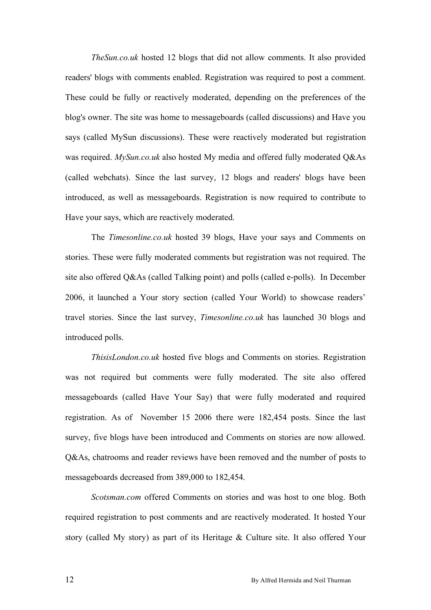*TheSun.co.uk* hosted 12 blogs that did not allow comments. It also provided readers' blogs with comments enabled. Registration was required to post a comment. These could be fully or reactively moderated, depending on the preferences of the blog's owner. The site was home to messageboards (called discussions) and Have you says (called MySun discussions). These were reactively moderated but registration was required. *MySun.co.uk* also hosted My media and offered fully moderated Q&As (called webchats). Since the last survey, 12 blogs and readers' blogs have been introduced, as well as messageboards. Registration is now required to contribute to Have your says, which are reactively moderated.

The *Timesonline.co.uk* hosted 39 blogs, Have your says and Comments on stories. These were fully moderated comments but registration was not required. The site also offered Q&As (called Talking point) and polls (called e-polls). In December 2006, it launched a Your story section (called Your World) to showcase readers' travel stories. Since the last survey, *Timesonline.co.uk* has launched 30 blogs and introduced polls.

*ThisisLondon.co.uk* hosted five blogs and Comments on stories. Registration was not required but comments were fully moderated. The site also offered messageboards (called Have Your Say) that were fully moderated and required registration. As of November 15 2006 there were 182,454 posts. Since the last survey, five blogs have been introduced and Comments on stories are now allowed. Q&As, chatrooms and reader reviews have been removed and the number of posts to messageboards decreased from 389,000 to 182,454.

*Scotsman.com* offered Comments on stories and was host to one blog. Both required registration to post comments and are reactively moderated. It hosted Your story (called My story) as part of its Heritage & Culture site. It also offered Your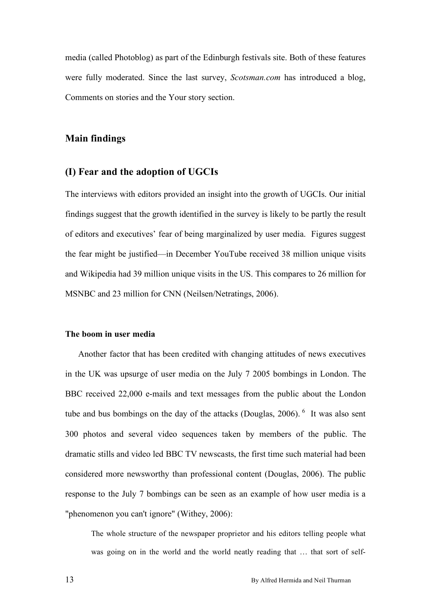media (called Photoblog) as part of the Edinburgh festivals site. Both of these features were fully moderated. Since the last survey, *Scotsman.com* has introduced a blog, Comments on stories and the Your story section.

## **Main findings**

## **(I) Fear and the adoption of UGCIs**

The interviews with editors provided an insight into the growth of UGCIs. Our initial findings suggest that the growth identified in the survey is likely to be partly the result of editors and executives' fear of being marginalized by user media. Figures suggest the fear might be justified—in December YouTube received 38 million unique visits and Wikipedia had 39 million unique visits in the US. This compares to 26 million for MSNBC and 23 million for CNN (Neilsen/Netratings, 2006).

## **The boom in user media**

Another factor that has been credited with changing attitudes of news executives in the UK was upsurge of user media on the July 7 2005 bombings in London. The BBC received 22,000 e-mails and text messages from the public about the London tube and bus bombings on the day of the attacks (Douglas, 2006). <sup>6</sup> It was also sent 300 photos and several video sequences taken by members of the public. The dramatic stills and video led BBC TV newscasts, the first time such material had been considered more newsworthy than professional content (Douglas, 2006). The public response to the July 7 bombings can be seen as an example of how user media is a "phenomenon you can't ignore" (Withey, 2006):

The whole structure of the newspaper proprietor and his editors telling people what was going on in the world and the world neatly reading that … that sort of self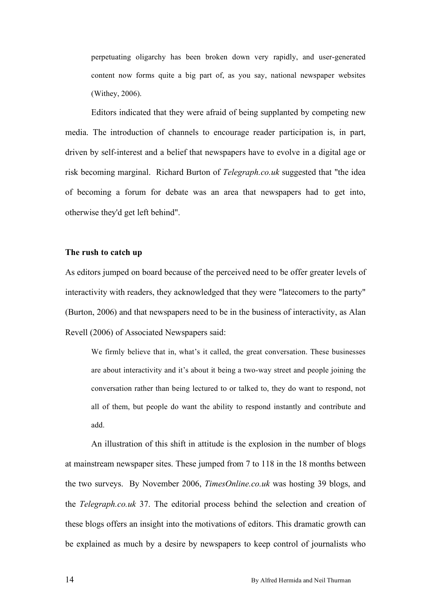perpetuating oligarchy has been broken down very rapidly, and user-generated content now forms quite a big part of, as you say, national newspaper websites (Withey, 2006).

Editors indicated that they were afraid of being supplanted by competing new media. The introduction of channels to encourage reader participation is, in part, driven by self-interest and a belief that newspapers have to evolve in a digital age or risk becoming marginal. Richard Burton of *Telegraph.co.uk* suggested that "the idea of becoming a forum for debate was an area that newspapers had to get into, otherwise they'd get left behind".

## **The rush to catch up**

As editors jumped on board because of the perceived need to be offer greater levels of interactivity with readers, they acknowledged that they were "latecomers to the party" (Burton, 2006) and that newspapers need to be in the business of interactivity, as Alan Revell (2006) of Associated Newspapers said:

We firmly believe that in, what's it called, the great conversation. These businesses are about interactivity and it's about it being a two-way street and people joining the conversation rather than being lectured to or talked to, they do want to respond, not all of them, but people do want the ability to respond instantly and contribute and add.

An illustration of this shift in attitude is the explosion in the number of blogs at mainstream newspaper sites. These jumped from 7 to 118 in the 18 months between the two surveys. By November 2006, *TimesOnline.co.uk* was hosting 39 blogs, and the *Telegraph.co.uk* 37. The editorial process behind the selection and creation of these blogs offers an insight into the motivations of editors. This dramatic growth can be explained as much by a desire by newspapers to keep control of journalists who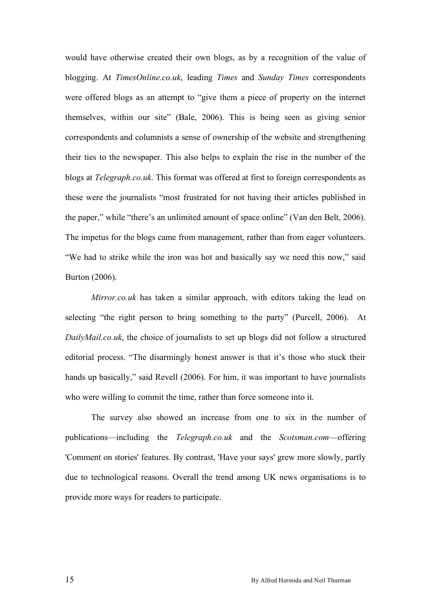would have otherwise created their own blogs, as by a recognition of the value of blogging. At *TimesOnline.co.uk*, leading *Times* and *Sunday Times* correspondents were offered blogs as an attempt to "give them a piece of property on the internet themselves, within our site" (Bale, 2006). This is being seen as giving senior correspondents and columnists a sense of ownership of the website and strengthening their ties to the newspaper. This also helps to explain the rise in the number of the blogs at *Telegraph.co.uk*. This format was offered at first to foreign correspondents as these were the journalists "most frustrated for not having their articles published in the paper," while "there's an unlimited amount of space online" (Van den Belt, 2006). The impetus for the blogs came from management, rather than from eager volunteers. "We had to strike while the iron was hot and basically say we need this now," said Burton (2006).

*Mirror.co.uk* has taken a similar approach, with editors taking the lead on selecting "the right person to bring something to the party" (Purcell, 2006). At *DailyMail.co.uk*, the choice of journalists to set up blogs did not follow a structured editorial process. "The disarmingly honest answer is that it's those who stuck their hands up basically," said Revell (2006). For him, it was important to have journalists who were willing to commit the time, rather than force someone into it.

The survey also showed an increase from one to six in the number of publications—including the *Telegraph.co.uk* and the *Scotsman.com*—offering 'Comment on stories' features. By contrast, 'Have your says' grew more slowly, partly due to technological reasons. Overall the trend among UK news organisations is to provide more ways for readers to participate.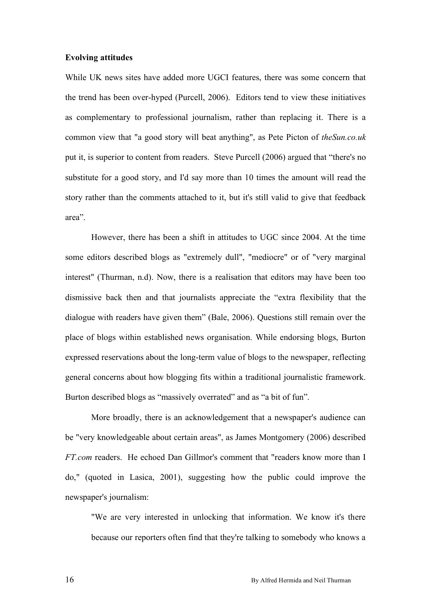## **Evolving attitudes**

While UK news sites have added more UGCI features, there was some concern that the trend has been over-hyped (Purcell, 2006). Editors tend to view these initiatives as complementary to professional journalism, rather than replacing it. There is a common view that "a good story will beat anything", as Pete Picton of *theSun.co.uk* put it, is superior to content from readers. Steve Purcell (2006) argued that "there's no substitute for a good story, and I'd say more than 10 times the amount will read the story rather than the comments attached to it, but it's still valid to give that feedback area".

However, there has been a shift in attitudes to UGC since 2004. At the time some editors described blogs as "extremely dull", "mediocre" or of "very marginal interest" (Thurman, n.d). Now, there is a realisation that editors may have been too dismissive back then and that journalists appreciate the "extra flexibility that the dialogue with readers have given them" (Bale, 2006). Questions still remain over the place of blogs within established news organisation. While endorsing blogs, Burton expressed reservations about the long-term value of blogs to the newspaper, reflecting general concerns about how blogging fits within a traditional journalistic framework. Burton described blogs as "massively overrated" and as "a bit of fun".

More broadly, there is an acknowledgement that a newspaper's audience can be "very knowledgeable about certain areas", as James Montgomery (2006) described *FT.com* readers. He echoed Dan Gillmor's comment that "readers know more than I do," (quoted in Lasica, 2001), suggesting how the public could improve the newspaper's journalism:

"We are very interested in unlocking that information. We know it's there because our reporters often find that they're talking to somebody who knows a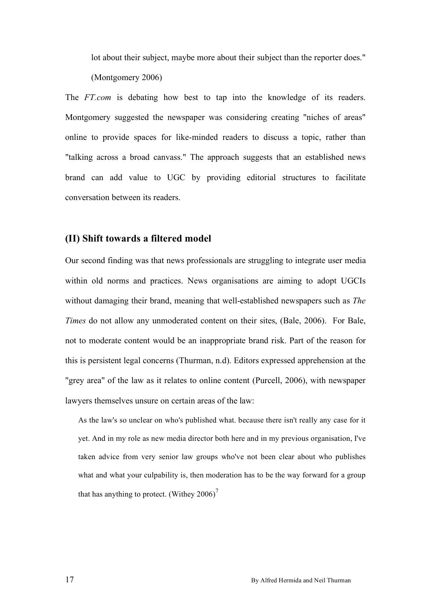lot about their subject, maybe more about their subject than the reporter does." (Montgomery 2006)

The *FT.com* is debating how best to tap into the knowledge of its readers. Montgomery suggested the newspaper was considering creating "niches of areas" online to provide spaces for like-minded readers to discuss a topic, rather than "talking across a broad canvass." The approach suggests that an established news brand can add value to UGC by providing editorial structures to facilitate conversation between its readers.

## **(II) Shift towards a filtered model**

Our second finding was that news professionals are struggling to integrate user media within old norms and practices. News organisations are aiming to adopt UGCIs without damaging their brand, meaning that well-established newspapers such as *The Times* do not allow any unmoderated content on their sites, (Bale, 2006). For Bale, not to moderate content would be an inappropriate brand risk. Part of the reason for this is persistent legal concerns (Thurman, n.d). Editors expressed apprehension at the "grey area" of the law as it relates to online content (Purcell, 2006), with newspaper lawyers themselves unsure on certain areas of the law:

As the law's so unclear on who's published what. because there isn't really any case for it yet. And in my role as new media director both here and in my previous organisation, I've taken advice from very senior law groups who've not been clear about who publishes what and what your culpability is, then moderation has to be the way forward for a group that has anything to protect. (Withey 2006)<sup>7</sup>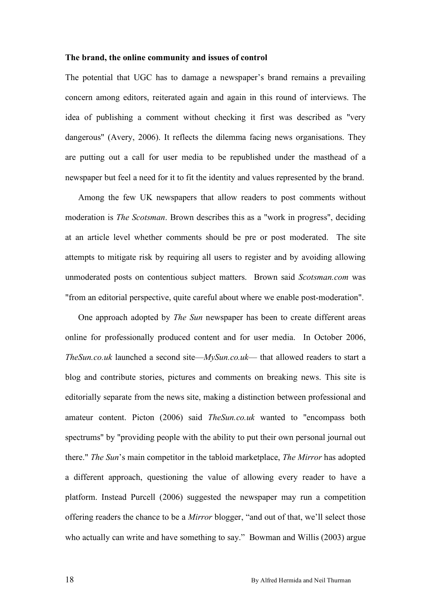#### **The brand, the online community and issues of control**

The potential that UGC has to damage a newspaper's brand remains a prevailing concern among editors, reiterated again and again in this round of interviews. The idea of publishing a comment without checking it first was described as "very dangerous" (Avery, 2006). It reflects the dilemma facing news organisations. They are putting out a call for user media to be republished under the masthead of a newspaper but feel a need for it to fit the identity and values represented by the brand.

Among the few UK newspapers that allow readers to post comments without moderation is *The Scotsman*. Brown describes this as a "work in progress", deciding at an article level whether comments should be pre or post moderated. The site attempts to mitigate risk by requiring all users to register and by avoiding allowing unmoderated posts on contentious subject matters. Brown said *Scotsman.com* was "from an editorial perspective, quite careful about where we enable post-moderation".

One approach adopted by *The Sun* newspaper has been to create different areas online for professionally produced content and for user media. In October 2006, *TheSun.co.uk* launched a second site—*MySun.co.uk*— that allowed readers to start a blog and contribute stories, pictures and comments on breaking news. This site is editorially separate from the news site, making a distinction between professional and amateur content. Picton (2006) said *TheSun.co.uk* wanted to "encompass both spectrums" by "providing people with the ability to put their own personal journal out there." *The Sun*'s main competitor in the tabloid marketplace, *The Mirror* has adopted a different approach, questioning the value of allowing every reader to have a platform. Instead Purcell (2006) suggested the newspaper may run a competition offering readers the chance to be a *Mirror* blogger, "and out of that, we'll select those who actually can write and have something to say." Bowman and Willis (2003) argue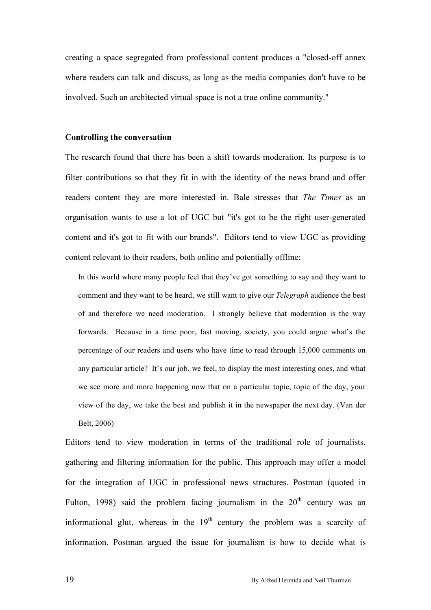creating a space segregated from professional content produces a "closed-off annex where readers can talk and discuss, as long as the media companies don't have to be involved. Such an architected virtual space is not a true online community."

#### **Controlling the conversation**

The research found that there has been a shift towards moderation. Its purpose is to filter contributions so that they fit in with the identity of the news brand and offer readers content they are more interested in. Bale stresses that *The Times* as an organisation wants to use a lot of UGC but "it's got to be the right user-generated content and it's got to fit with our brands". Editors tend to view UGC as providing content relevant to their readers, both online and potentially offline:

In this world where many people feel that they've got something to say and they want to comment and they want to be heard, we still want to give our *Telegraph* audience the best of and therefore we need moderation. I strongly believe that moderation is the way forwards. Because in a time poor, fast moving, society, you could argue what's the percentage of our readers and users who have time to read through 15,000 comments on any particular article? It's our job, we feel, to display the most interesting ones, and what we see more and more happening now that on a particular topic, topic of the day, your view of the day, we take the best and publish it in the newspaper the next day. (Van der Belt, 2006)

Editors tend to view moderation in terms of the traditional role of journalists, gathering and filtering information for the public. This approach may offer a model for the integration of UGC in professional news structures. Postman (quoted in Fulton, 1998) said the problem facing journalism in the  $20<sup>th</sup>$  century was an informational glut, whereas in the  $19<sup>th</sup>$  century the problem was a scarcity of information. Postman argued the issue for journalism is how to decide what is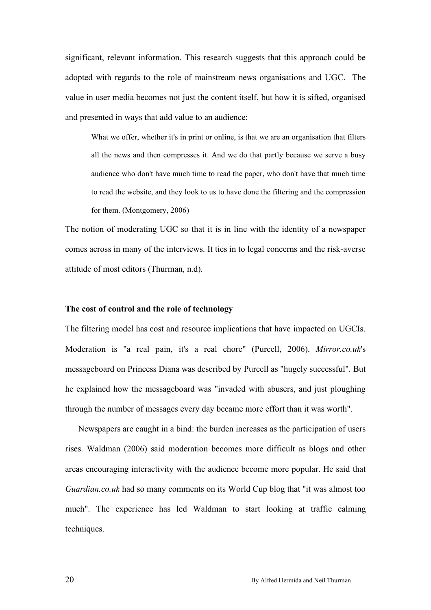significant, relevant information. This research suggests that this approach could be adopted with regards to the role of mainstream news organisations and UGC. The value in user media becomes not just the content itself, but how it is sifted, organised and presented in ways that add value to an audience:

What we offer, whether it's in print or online, is that we are an organisation that filters all the news and then compresses it. And we do that partly because we serve a busy audience who don't have much time to read the paper, who don't have that much time to read the website, and they look to us to have done the filtering and the compression for them. (Montgomery, 2006)

The notion of moderating UGC so that it is in line with the identity of a newspaper comes across in many of the interviews. It ties in to legal concerns and the risk-averse attitude of most editors (Thurman, n.d).

#### **The cost of control and the role of technology**

The filtering model has cost and resource implications that have impacted on UGCIs. Moderation is "a real pain, it's a real chore" (Purcell, 2006). *Mirror.co.uk*'s messageboard on Princess Diana was described by Purcell as "hugely successful". But he explained how the messageboard was "invaded with abusers, and just ploughing through the number of messages every day became more effort than it was worth".

Newspapers are caught in a bind: the burden increases as the participation of users rises. Waldman (2006) said moderation becomes more difficult as blogs and other areas encouraging interactivity with the audience become more popular. He said that *Guardian.co.uk* had so many comments on its World Cup blog that "it was almost too much". The experience has led Waldman to start looking at traffic calming techniques.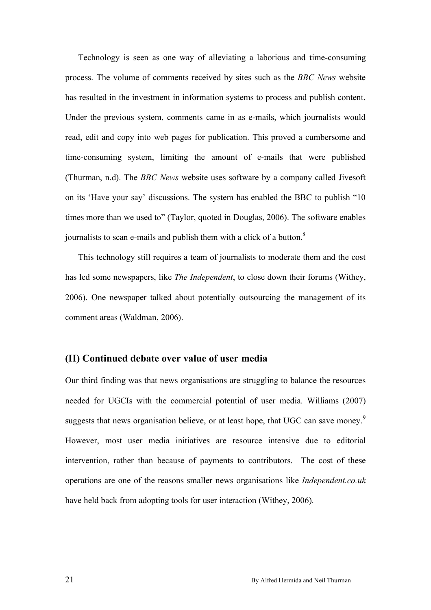Technology is seen as one way of alleviating a laborious and time-consuming process. The volume of comments received by sites such as the *BBC News* website has resulted in the investment in information systems to process and publish content. Under the previous system, comments came in as e-mails, which journalists would read, edit and copy into web pages for publication. This proved a cumbersome and time-consuming system, limiting the amount of e-mails that were published (Thurman, n.d). The *BBC News* website uses software by a company called Jivesoft on its 'Have your say' discussions. The system has enabled the BBC to publish "10 times more than we used to" (Taylor, quoted in Douglas, 2006). The software enables journalists to scan e-mails and publish them with a click of a button.<sup>8</sup>

This technology still requires a team of journalists to moderate them and the cost has led some newspapers, like *The Independent*, to close down their forums (Withey, 2006). One newspaper talked about potentially outsourcing the management of its comment areas (Waldman, 2006).

## **(II) Continued debate over value of user media**

Our third finding was that news organisations are struggling to balance the resources needed for UGCIs with the commercial potential of user media. Williams (2007) suggests that news organisation believe, or at least hope, that UGC can save money.<sup>9</sup> However, most user media initiatives are resource intensive due to editorial intervention, rather than because of payments to contributors. The cost of these operations are one of the reasons smaller news organisations like *Independent.co.uk* have held back from adopting tools for user interaction (Withey, 2006).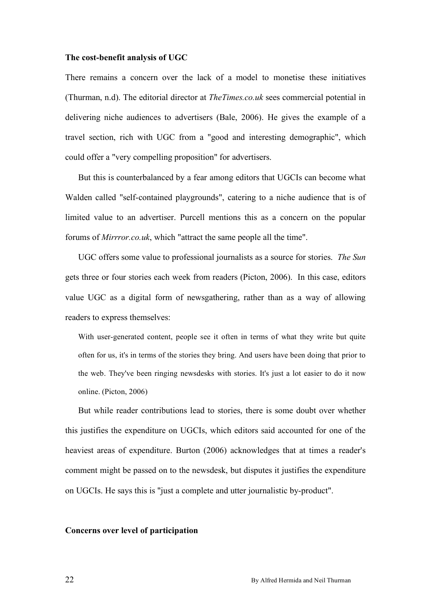#### **The cost-benefit analysis of UGC**

There remains a concern over the lack of a model to monetise these initiatives (Thurman, n.d). The editorial director at *TheTimes.co.uk* sees commercial potential in delivering niche audiences to advertisers (Bale, 2006). He gives the example of a travel section, rich with UGC from a "good and interesting demographic", which could offer a "very compelling proposition" for advertisers.

But this is counterbalanced by a fear among editors that UGCIs can become what Walden called "self-contained playgrounds", catering to a niche audience that is of limited value to an advertiser. Purcell mentions this as a concern on the popular forums of *Mirrror.co.uk*, which "attract the same people all the time".

UGC offers some value to professional journalists as a source for stories. *The Sun* gets three or four stories each week from readers (Picton, 2006). In this case, editors value UGC as a digital form of newsgathering, rather than as a way of allowing readers to express themselves:

With user-generated content, people see it often in terms of what they write but quite often for us, it's in terms of the stories they bring. And users have been doing that prior to the web. They've been ringing newsdesks with stories. It's just a lot easier to do it now online. (Picton, 2006)

But while reader contributions lead to stories, there is some doubt over whether this justifies the expenditure on UGCIs, which editors said accounted for one of the heaviest areas of expenditure. Burton (2006) acknowledges that at times a reader's comment might be passed on to the newsdesk, but disputes it justifies the expenditure on UGCIs. He says this is "just a complete and utter journalistic by-product".

### **Concerns over level of participation**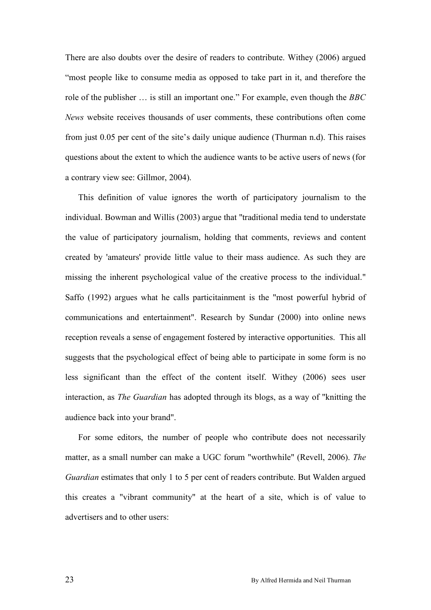There are also doubts over the desire of readers to contribute. Withey (2006) argued "most people like to consume media as opposed to take part in it, and therefore the role of the publisher … is still an important one." For example, even though the *BBC News* website receives thousands of user comments, these contributions often come from just 0.05 per cent of the site's daily unique audience (Thurman n.d). This raises questions about the extent to which the audience wants to be active users of news (for a contrary view see: Gillmor, 2004).

This definition of value ignores the worth of participatory journalism to the individual. Bowman and Willis (2003) argue that "traditional media tend to understate the value of participatory journalism, holding that comments, reviews and content created by 'amateurs' provide little value to their mass audience. As such they are missing the inherent psychological value of the creative process to the individual." Saffo (1992) argues what he calls particitainment is the "most powerful hybrid of communications and entertainment". Research by Sundar (2000) into online news reception reveals a sense of engagement fostered by interactive opportunities. This all suggests that the psychological effect of being able to participate in some form is no less significant than the effect of the content itself. Withey (2006) sees user interaction, as *The Guardian* has adopted through its blogs, as a way of "knitting the audience back into your brand".

For some editors, the number of people who contribute does not necessarily matter, as a small number can make a UGC forum "worthwhile" (Revell, 2006). *The Guardian* estimates that only 1 to 5 per cent of readers contribute. But Walden argued this creates a "vibrant community" at the heart of a site, which is of value to advertisers and to other users: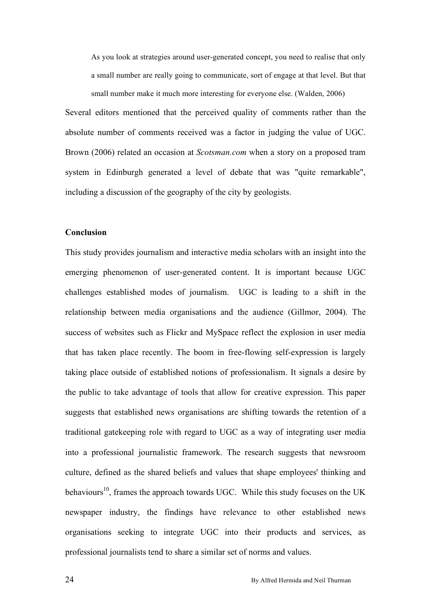As you look at strategies around user-generated concept, you need to realise that only a small number are really going to communicate, sort of engage at that level. But that small number make it much more interesting for everyone else. (Walden, 2006)

Several editors mentioned that the perceived quality of comments rather than the absolute number of comments received was a factor in judging the value of UGC. Brown (2006) related an occasion at *Scotsman.com* when a story on a proposed tram system in Edinburgh generated a level of debate that was "quite remarkable", including a discussion of the geography of the city by geologists.

## **Conclusion**

This study provides journalism and interactive media scholars with an insight into the emerging phenomenon of user-generated content. It is important because UGC challenges established modes of journalism. UGC is leading to a shift in the relationship between media organisations and the audience (Gillmor, 2004). The success of websites such as Flickr and MySpace reflect the explosion in user media that has taken place recently. The boom in free-flowing self-expression is largely taking place outside of established notions of professionalism. It signals a desire by the public to take advantage of tools that allow for creative expression. This paper suggests that established news organisations are shifting towards the retention of a traditional gatekeeping role with regard to UGC as a way of integrating user media into a professional journalistic framework. The research suggests that newsroom culture, defined as the shared beliefs and values that shape employees' thinking and behaviours<sup>10</sup>, frames the approach towards UGC. While this study focuses on the UK newspaper industry, the findings have relevance to other established news organisations seeking to integrate UGC into their products and services, as professional journalists tend to share a similar set of norms and values.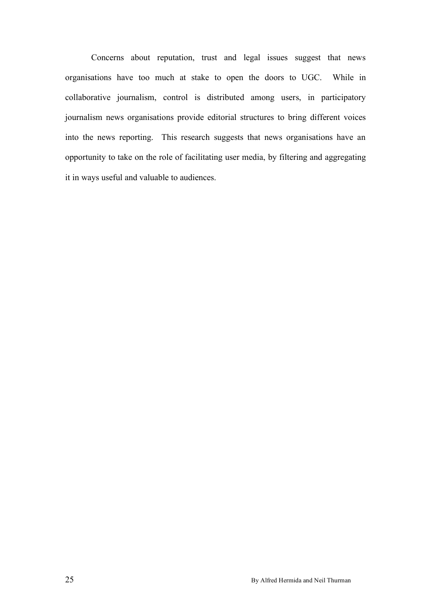Concerns about reputation, trust and legal issues suggest that news organisations have too much at stake to open the doors to UGC. While in collaborative journalism, control is distributed among users, in participatory journalism news organisations provide editorial structures to bring different voices into the news reporting. This research suggests that news organisations have an opportunity to take on the role of facilitating user media, by filtering and aggregating it in ways useful and valuable to audiences.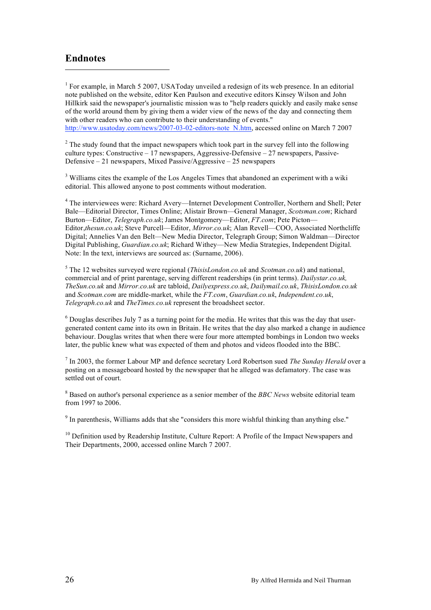## **Endnotes**

 $\overline{a}$ 

<sup>1</sup> For example, in March 5 2007, USAToday unveiled a redesign of its web presence. In an editorial note published on the website, editor Ken Paulson and executive editors Kinsey Wilson and John Hillkirk said the newspaper's journalistic mission was to "help readers quickly and easily make sense of the world around them by giving them a wider view of the news of the day and connecting them with other readers who can contribute to their understanding of events." http://www.usatoday.com/news/2007-03-02-editors-note\_N.htm, accessed online on March 7 2007

<sup>2</sup> The study found that the impact newspapers which took part in the survey fell into the following culture types: Constructive – 17 newspapers, Aggressive-Defensive – 27 newspapers, Passive-Defensive – 21 newspapers, Mixed Passive/Aggressive – 25 newspapers

<sup>3</sup> Williams cites the example of the Los Angeles Times that abandoned an experiment with a wiki editorial. This allowed anyone to post comments without moderation.

<sup>4</sup> The interviewees were: Richard Avery—Internet Development Controller, Northern and Shell; Peter Bale—Editorial Director, Times Online; Alistair Brown—General Manager, *Scotsman.com*; Richard Burton—Editor, *Telegraph.co.uk*; James Montgomery—Editor, *FT.com*; Pete Picton— Editor,*thesun.co.uk*; Steve Purcell—Editor, *Mirror.co.uk*; Alan Revell—COO, Associated Northcliffe Digital; Annelies Van den Belt—New Media Director, Telegraph Group; Simon Waldman—Director Digital Publishing, *Guardian.co.uk*; Richard Withey—New Media Strategies, Independent Digital. Note: In the text, interviews are sourced as: (Surname, 2006).

<sup>5</sup> The 12 websites surveyed were regional (*ThisisLondon.co.uk* and *Scotman.co.uk*) and national, commercial and of print parentage, serving different readerships (in print terms). *Dailystar.co.uk, TheSun.co.uk* and *Mirror.co.uk* are tabloid, *Dailyexpress.co.uk*, *Dailymail.co.uk*, *ThisisLondon.co.uk* and *Scotman.com* are middle-market, while the *FT.com*, *Guardian.co.uk*, *Independent.co.uk*, *Telegraph.co.uk* and *TheTimes.co.uk* represent the broadsheet sector.

<sup>6</sup> Douglas describes July 7 as a turning point for the media. He writes that this was the day that usergenerated content came into its own in Britain. He writes that the day also marked a change in audience behaviour. Douglas writes that when there were four more attempted bombings in London two weeks later, the public knew what was expected of them and photos and videos flooded into the BBC.

<sup>7</sup> In 2003, the former Labour MP and defence secretary Lord Robertson sued *The Sunday Herald* over a posting on a messageboard hosted by the newspaper that he alleged was defamatory. The case was settled out of court.

<sup>8</sup> Based on author's personal experience as a senior member of the *BBC News* website editorial team from 1997 to 2006.

<sup>9</sup> In parenthesis, Williams adds that she "considers this more wishful thinking than anything else."

<sup>10</sup> Definition used by Readership Institute, Culture Report: A Profile of the Impact Newspapers and Their Departments, 2000, accessed online March 7 2007.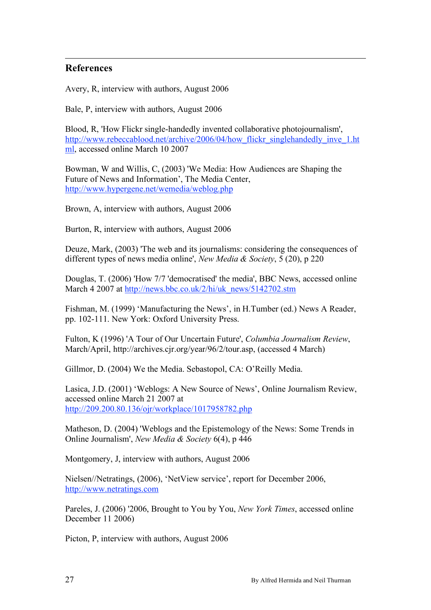## **References**

 $\overline{a}$ 

Avery, R, interview with authors, August 2006

Bale, P, interview with authors, August 2006

Blood, R, 'How Flickr single-handedly invented collaborative photojournalism', http://www.rebeccablood.net/archive/2006/04/how\_flickr\_singlehandedly\_inve\_1.ht ml, accessed online March 10 2007

Bowman, W and Willis, C, (2003) 'We Media: How Audiences are Shaping the Future of News and Information', The Media Center, http://www.hypergene.net/wemedia/weblog.php

Brown, A, interview with authors, August 2006

Burton, R, interview with authors, August 2006

Deuze, Mark, (2003) 'The web and its journalisms: considering the consequences of different types of news media online', *New Media & Society*, 5 (20), p 220

Douglas, T. (2006) 'How 7/7 'democratised' the media', BBC News, accessed online March 4 2007 at http://news.bbc.co.uk/2/hi/uk\_news/5142702.stm

Fishman, M. (1999) 'Manufacturing the News', in H.Tumber (ed.) News A Reader, pp. 102-111. New York: Oxford University Press.

Fulton, K (1996) 'A Tour of Our Uncertain Future', *Columbia Journalism Review*, March/April, http://archives.cjr.org/year/96/2/tour.asp, (accessed 4 March)

Gillmor, D. (2004) We the Media. Sebastopol, CA: O'Reilly Media.

Lasica, J.D. (2001) 'Weblogs: A New Source of News', Online Journalism Review, accessed online March 21 2007 at http://209.200.80.136/ojr/workplace/1017958782.php

Matheson, D. (2004) 'Weblogs and the Epistemology of the News: Some Trends in Online Journalism', *New Media & Society* 6(4), p 446

Montgomery, J, interview with authors, August 2006

Nielsen//Netratings, (2006), 'NetView service', report for December 2006, http://www.netratings.com

Pareles, J. (2006) '2006, Brought to You by You, *New York Times*, accessed online December 11 2006)

Picton, P, interview with authors, August 2006